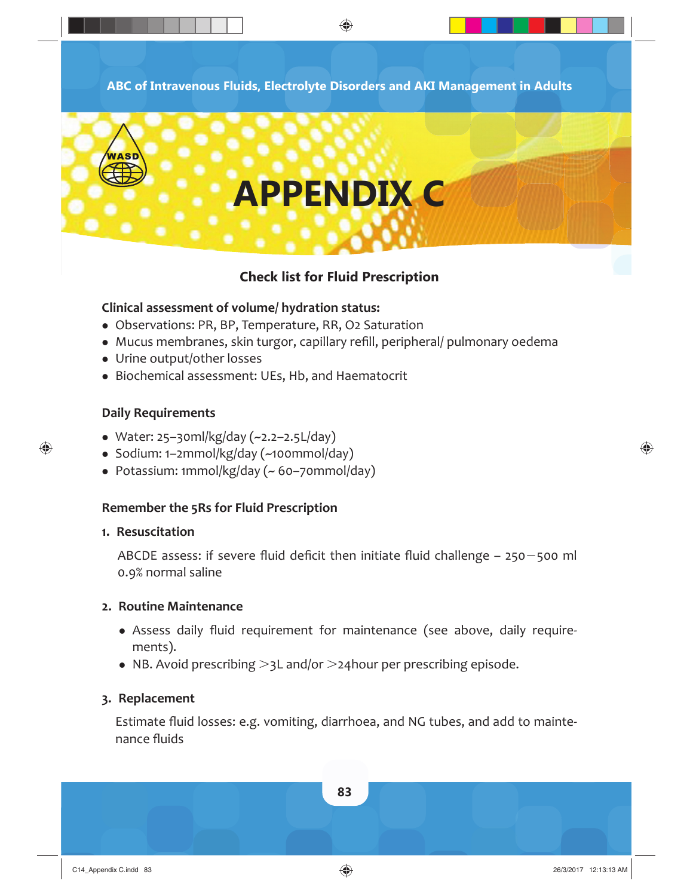**ABC of Intravenous Fluids, Electrolyte Disorders and AKI Management in Adults**

◈



## **Check list for Fluid Prescription**

#### **Clinical assessment of volume/ hydration status:**

- Observations: PR, BP, Temperature, RR, O2 Saturation
- Mucus membranes, skin turgor, capillary refill, peripheral/ pulmonary oedema
- Urine output/other losses
- Biochemical assessment: UEs, Hb, and Haematocrit

#### **Daily Requirements**

 $\bigoplus$ 

- Water: 25–30ml/kg/day  $(-2.2-2.5L/day)$
- Sodium: 1–2mmol/kg/day (~100mmol/day)
- Potassium: 1mmol/kg/day (~ 60–70mmol/day)

#### **Remember the 5Rs for Fluid Prescription**

#### **1. Resuscitation**

ABCDE assess: if severe fluid deficit then initiate fluid challenge  $-$  250 $-$ 500 ml 0.9% normal saline

#### **2. Routine Maintenance**

- Assess daily fluid requirement for maintenance (see above, daily requirements).
- NB. Avoid prescribing  $>$ 3L and/or  $>$ 24hour per prescribing episode.

#### **3. Replacement**

Estimate fluid losses: e.g. vomiting, diarrhoea, and NG tubes, and add to maintenance fluids



♠